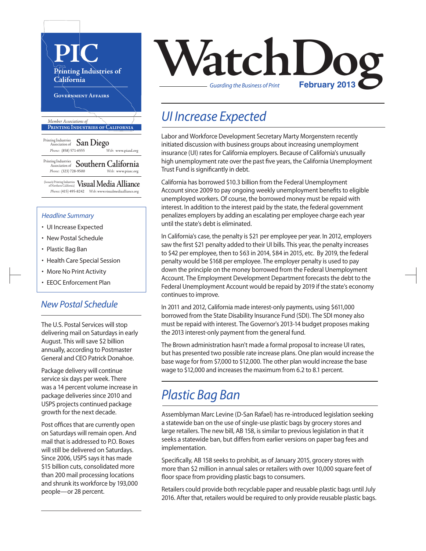

#### *Headline Summary*

- UI Increase Expected
- New Postal Schedule
- Plastic Bag Ban
- Health Care Special Session
- More No Print Activity
- EEOC Enforcement Plan

#### *New Postal Schedule*

The U.S. Postal Services will stop delivering mail on Saturdays in early August. This will save \$2 billion annually, according to Postmaster General and CEO Patrick Donahoe.

Package delivery will continue service six days per week. There was a 14 percent volume increase in package deliveries since 2010 and USPS projects continued package growth for the next decade.

Post offices that are currently open on Saturdays will remain open. And mail that is addressed to P.O. Boxes will still be delivered on Saturdays. Since 2006, USPS says it has made \$15 billion cuts, consolidated more than 200 mail processing locations and shrunk its workforce by 193,000 people—or 28 percent.



## *UI Increase Expected*

Labor and Workforce Development Secretary Marty Morgenstern recently initiated discussion with business groups about increasing unemployment insurance (UI) rates for California employers. Because of California's unusually high unemployment rate over the past five years, the California Unemployment Trust Fund is significantly in debt.

California has borrowed \$10.3 billion from the Federal Unemployment Account since 2009 to pay ongoing weekly unemployment benefits to eligible unemployed workers. Of course, the borrowed money must be repaid with interest. In addition to the interest paid by the state, the federal government penalizes employers by adding an escalating per employee charge each year until the state's debt is eliminated.

In California's case, the penalty is \$21 per employee per year. In 2012, employers saw the first \$21 penalty added to their UI bills. This year, the penalty increases to \$42 per employee, then to \$63 in 2014, \$84 in 2015, etc. By 2019, the federal penalty would be \$168 per employee. The employer penalty is used to pay down the principle on the money borrowed from the Federal Unemployment Account. The Employment Development Department forecasts the debt to the Federal Unemployment Account would be repaid by 2019 if the state's economy continues to improve.

In 2011 and 2012, California made interest-only payments, using \$611,000 borrowed from the State Disability Insurance Fund (SDI). The SDI money also must be repaid with interest. The Governor's 2013-14 budget proposes making the 2013 interest-only payment from the general fund.

The Brown administration hasn't made a formal proposal to increase UI rates, but has presented two possible rate increase plans. One plan would increase the base wage for from \$7,000 to \$12,000. The other plan would increase the base wage to \$12,000 and increases the maximum from 6.2 to 8.1 percent.

## *Plastic Bag Ban*

Assemblyman Marc Levine (D-San Rafael) has re-introduced legislation seeking a statewide ban on the use of single-use plastic bags by grocery stores and large retailers. The new bill, AB 158, is similar to previous legislation in that it seeks a statewide ban, but differs from earlier versions on paper bag fees and implementation.

Specifically, AB 158 seeks to prohibit, as of January 2015, grocery stores with more than \$2 million in annual sales or retailers with over 10,000 square feet of floor space from providing plastic bags to consumers.

Retailers could provide both recyclable paper and reusable plastic bags until July 2016. After that, retailers would be required to only provide reusable plastic bags.